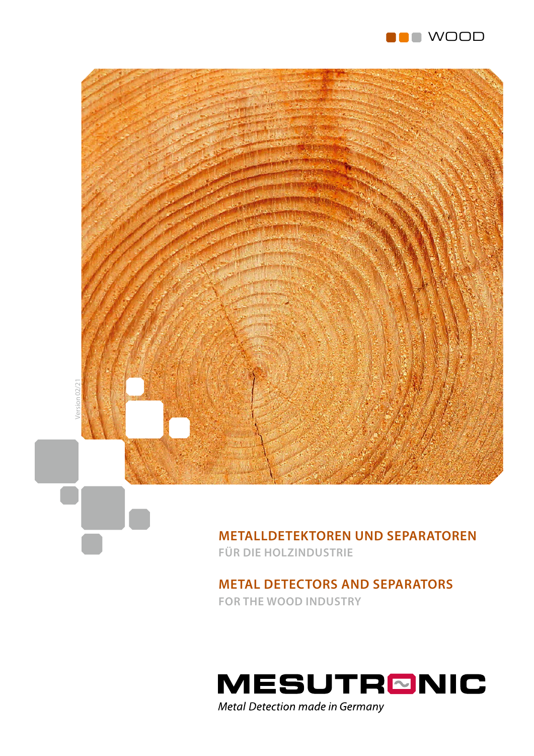



### **METALLDETEKTOREN UND SEPARATOREN FÜR DIE HOLZINDUSTRIE**

### **METAL DETECTORS AND SEPARATORS FOR THE WOOD INDUSTRY**

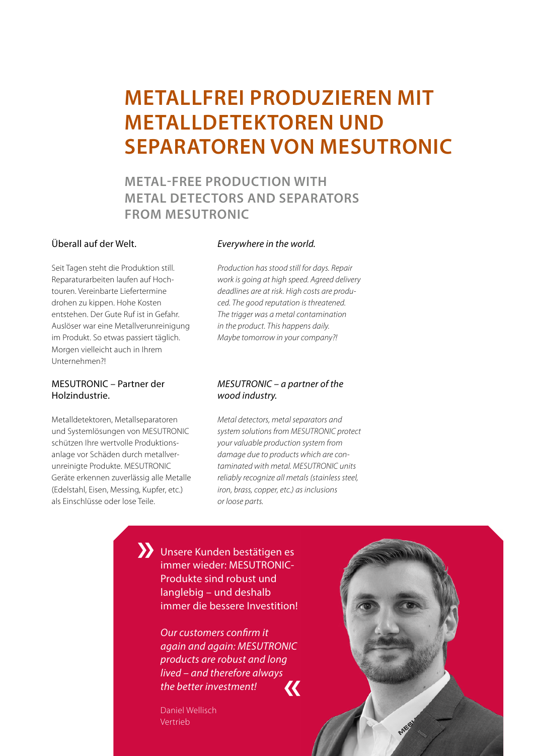# **METALLFREI PRODUZIEREN MIT METALLDETEKTOREN UND SEPARATOREN VON MESUTRONIC**

**METAL-FREE PRODUCTION WITH METAL DETECTORS AND SEPARATORS FROM MESUTRONIC**

### Überall auf der Welt.

Seit Tagen steht die Produktion still. Reparaturarbeiten laufen auf Hochtouren. Vereinbarte Liefertermine drohen zu kippen. Hohe Kosten entstehen. Der Gute Ruf ist in Gefahr. Auslöser war eine Metallverunreinigung im Produkt. So etwas passiert täglich. Morgen vielleicht auch in Ihrem Unternehmen?!

### MESUTRONIC – Partner der Holzindustrie.

Metalldetektoren, Metallseparatoren und Systemlösungen von MESUTRONIC schützen Ihre wertvolle Produktionsanlage vor Schäden durch metallverunreinigte Produkte. MESUTRONIC Geräte erkennen zuverlässig alle Metalle (Edelstahl, Eisen, Messing, Kupfer, etc.) als Einschlüsse oder lose Teile.

#### *Everywhere in the world.*

*Production has stood still for days. Repair work is going at high speed. Agreed delivery deadlines are at risk. High costs are produced. The good reputation is threatened. The trigger was a metal contamination in the product. This happens daily. Maybe tomorrow in your company?!*

#### *MESUTRONIC – a partner of the wood industry.*

*Metal detectors, metal separators and system solutions from MESUTRONIC protect your valuable production system from damage due to products which are contaminated with metal. MESUTRONIC units reliably recognize all metals (stainless steel, iron, brass, copper, etc.) as inclusions or loose parts.*

Unsere Kunden bestätigen es immer wieder: MESUTRONIC-Produkte sind robust und langlebig – und deshalb immer die bessere Investition! **»**

> *Our customers confirm it again and again: MESUTRONIC products are robust and long lived – and therefore always the better investment!* **«**

Daniel Wellisch Vertrieb

MES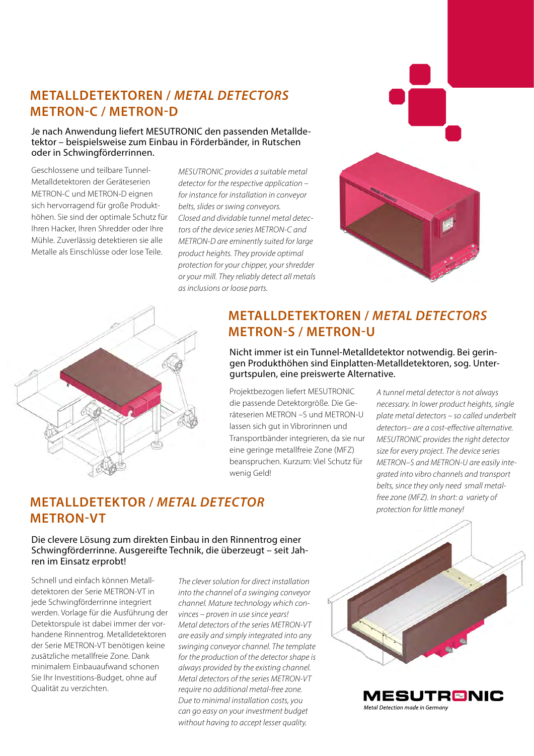## **METALLDETEKTOREN /** *METAL DETECTORS* **METRON-C / METRON-D**

#### Je nach Anwendung liefert MESUTRONIC den passenden Metalldetektor – beispielsweise zum Einbau in Förderbänder, in Rutschen oder in Schwingförderrinnen.

Geschlossene und teilbare Tunnel-Metalldetektoren der Geräteserien METRON-C und METRON-D eignen sich hervorragend für große Produkthöhen. Sie sind der optimale Schutz für Ihren Hacker, Ihren Shredder oder Ihre Mühle. Zuverlässig detektieren sie alle Metalle als Einschlüsse oder lose Teile.

*MESUTRONIC provides a suitable metal detector for the respective application – for instance for installation in conveyor belts, slides or swing conveyors. Closed and dividable tunnel metal detectors of the device series METRON-C and METRON-D are eminently suited for large product heights. They provide optimal protection for your chipper, your shredder or your mill. They reliably detect all metals as inclusions or loose parts.*





## **METALLDETEKTOREN /** *METAL DETECTORS* **METRON-S / METRON-U**

Nicht immer ist ein Tunnel-Metalldetektor notwendig. Bei geringen Produkthöhen sind Einplatten-Metalldetektoren, sog. Untergurtspulen, eine preiswerte Alternative.

Projektbezogen liefert MESUTRONIC die passende Detektorgröße. Die Geräteserien METRON –S und METRON-U lassen sich gut in Vibrorinnen und Transportbänder integrieren, da sie nur eine geringe metallfreie Zone (MFZ) beanspruchen. Kurzum: Viel Schutz für wenig Geld!

*A tunnel metal detector is not always necessary. In lower product heights, single plate metal detectors – so called underbelt detectors– are a cost-effective alternative. MESUTRONIC provides the right detector size for every project. The device series METRON–S and METRON-U are easily integrated into vibro channels and transport belts, since they only need small metalfree zone (MFZ). In short: a variety of protection for little money!*

### **METALLDETEKTOR /** *METAL DETECTOR* **METRON-VT**

Die clevere Lösung zum direkten Einbau in den Rinnentrog einer Schwingförderrinne. Ausgereifte Technik, die überzeugt – seit Jahren im Einsatz erprobt!

Schnell und einfach können Metalldetektoren der Serie METRON-VT in jede Schwingförderrinne integriert werden. Vorlage für die Ausführung der Detektorspule ist dabei immer der vorhandene Rinnentrog. Metalldetektoren der Serie METRON-VT benötigen keine zusätzliche metallfreie Zone. Dank minimalem Einbauaufwand schonen Sie Ihr Investitions-Budget, ohne auf Qualität zu verzichten.

*The clever solution for direct installation into the channel of a swinging conveyor channel. Mature technology which convinces – proven in use since years! Metal detectors of the series METRON-VT are easily and simply integrated into any swinging conveyor channel. The template for the production of the detector shape is always provided by the existing channel. Metal detectors of the series METRON-VT require no additional metal-free zone. Due to minimal installation costs, you can go easy on your investment budget without having to accept lesser quality.*



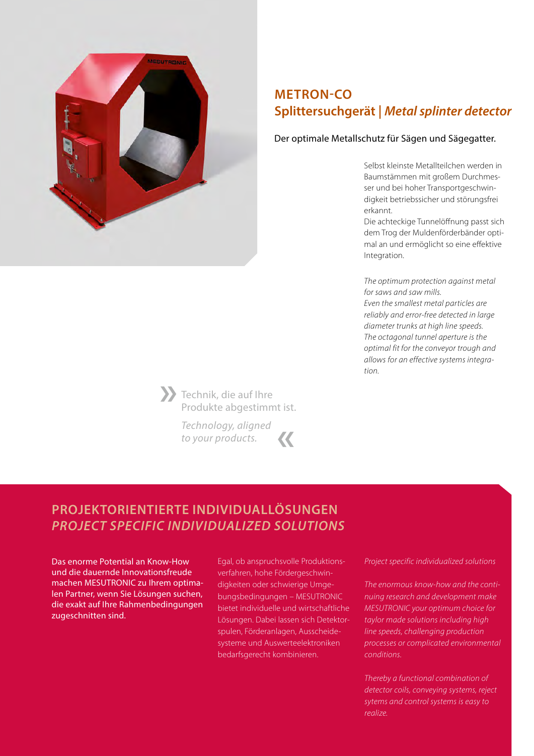

## **METRON-CO Splittersuchgerät |** *Metal splinter detector*

#### Der optimale Metallschutz für Sägen und Sägegatter.

Selbst kleinste Metallteilchen werden in Baumstämmen mit großem Durchmesser und bei hoher Transportgeschwindigkeit betriebssicher und störungsfrei erkannt.

Die achteckige Tunnelöffnung passt sich dem Trog der Muldenförderbänder optimal an und ermöglicht so eine effektive Integration.

*The optimum protection against metal for saws and saw mills. Even the smallest metal particles are reliably and error-free detected in large diameter trunks at high line speeds. The octagonal tunnel aperture is the optimal fit for the conveyor trough and allows for an effective systems integration.*

Technik, die auf Ihre Produkte abgestimmt ist. **»**

> *Technology, aligned to your products.* **«**

# **PROJEKTORIENTIERTE INDIVIDUALLÖSUNGEN** *PROJECT SPECIFIC INDIVIDUALIZED SOLUTIONS*

Das enorme Potential an Know-How und die dauernde Innovationsfreude machen MESUTRONIC zu Ihrem optimalen Partner, wenn Sie Lösungen suchen, die exakt auf Ihre Rahmenbedingungen zugeschnitten sind.

Egal, ob anspruchsvolle Produktionsverfahren, hohe Fördergeschwindigkeiten oder schwierige Umgebungsbedingungen – MESUTRONIC bietet individuelle und wirtschaftliche Lösungen. Dabei lassen sich Detektorspulen, Förderanlagen, Ausscheidesysteme und Auswerteelektroniken bedarfsgerecht kombinieren.

*Project specific individualized solutions*

*The enormous know-how and the continuing research and development make MESUTRONIC your optimum choice for taylor made solutions including high line speeds, challenging production processes or complicated environmental conditions.*

*Thereby a functional combination of detector coils, conveying systems, reject sytems and control systems is easy to realize.*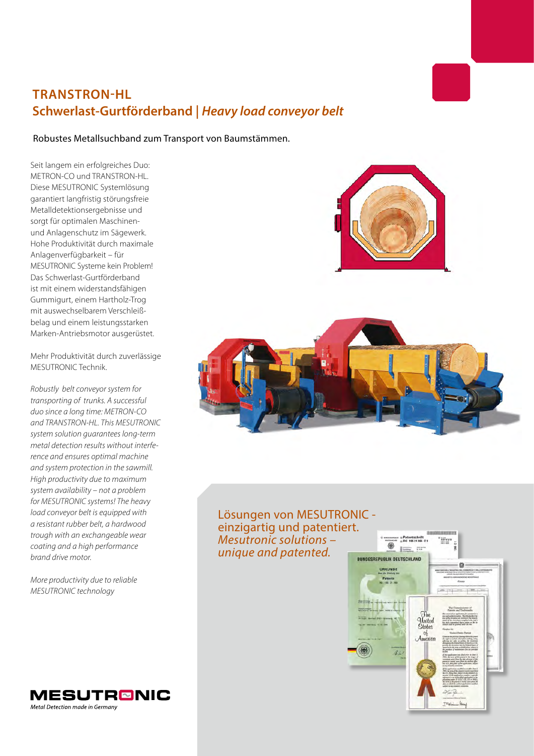# **TRANSTRON-HL Schwerlast-Gurtförderband |** *Heavy load conveyor belt*

#### Robustes Metallsuchband zum Transport von Baumstämmen.

Seit langem ein erfolgreiches Duo: METRON-CO und TRANSTRON-HL. Diese MESUTRONIC Systemlösung garantiert langfristig störungsfreie Metalldetektionsergebnisse und sorgt für optimalen Maschinenund Anlagenschutz im Sägewerk. Hohe Produktivität durch maximale Anlagenverfügbarkeit – für MESUTRONIC Systeme kein Problem! Das Schwerlast-Gurtförderband ist mit einem widerstandsfähigen Gummigurt, einem Hartholz-Trog mit auswechselbarem Verschleißbelag und einem leistungsstarken Marken-Antriebsmotor ausgerüstet.

Mehr Produktivität durch zuverlässige MESUTRONIC Technik.

*Robustly belt conveyor system for transporting of trunks. A successful duo since a long time: METRON-CO and TRANSTRON-HL. This MESUTRONIC system solution guarantees long-term metal detection results without interference and ensures optimal machine and system protection in the sawmill. High productivity due to maximum system availability – not a problem for MESUTRONIC systems! The heavy load conveyor belt is equipped with a resistant rubber belt, a hardwood trough with an exchangeable wear coating and a high performance brand drive motor.*

*More productivity due to reliable MESUTRONIC technology*

**MESUTRØNIC** 

Metal Detection made in Germany



### Lösungen von MESUTRONIC einzigartig und patentiert. *Mesutronic solutions – unique and patented.*

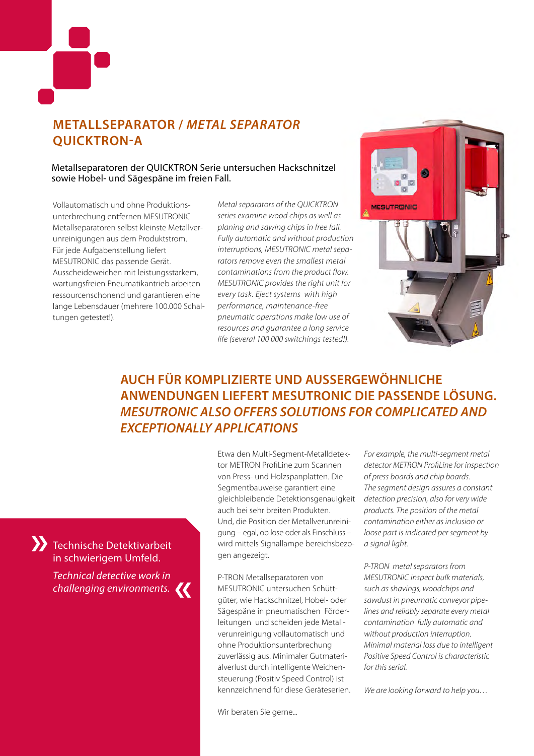

## **METALLSEPARATOR /** *METAL SEPARATOR* **QUICKTRON-A**

#### Metallseparatoren der QUICKTRON Serie untersuchen Hackschnitzel sowie Hobel- und Sägespäne im freien Fall.

Vollautomatisch und ohne Produktionsunterbrechung entfernen MESUTRONIC Metallseparatoren selbst kleinste Metallverunreinigungen aus dem Produktstrom. Für jede Aufgabenstellung liefert MESUTRONIC das passende Gerät. Ausscheideweichen mit leistungsstarkem, wartungsfreien Pneumatikantrieb arbeiten ressourcenschonend und garantieren eine lange Lebensdauer (mehrere 100.000 Schaltungen getestet!).

Technische Detektivarbeit in schwierigem Umfeld.

**»**

*Technical detective work in challenging environments.*

**«**

*Metal separators of the QUICKTRON series examine wood chips as well as planing and sawing chips in free fall. Fully automatic and without production interruptions, MESUTRONIC metal separators remove even the smallest metal contaminations from the product flow. MESUTRONIC provides the right unit for every task. Eject systems with high performance, maintenance-free pneumatic operations make low use of resources and guarantee a long service life (several 100 000 switchings tested!).*



## **AUCH FÜR KOMPLIZIERTE UND AUSSERGEWÖHNLICHE ANWENDUNGEN LIEFERT MESUTRONIC DIE PASSENDE LÖSUNG.** *MESUTRONIC ALSO OFFERS SOLUTIONS FOR COMPLICATED AND EXCEPTIONALLY APPLICATIONS*

Etwa den Multi-Segment-Metalldetektor METRON ProfiLine zum Scannen von Press- und Holzspanplatten. Die Segmentbauweise garantiert eine gleichbleibende Detektionsgenauigkeit auch bei sehr breiten Produkten. Und, die Position der Metallverunreinigung – egal, ob lose oder als Einschluss – wird mittels Signallampe bereichsbezogen angezeigt.

P-TRON Metallseparatoren von MESUTRONIC untersuchen Schüttgüter, wie Hackschnitzel, Hobel- oder Sägespäne in pneumatischen Förderleitungen und scheiden jede Metallverunreinigung vollautomatisch und ohne Produktionsunterbrechung zuverlässig aus. Minimaler Gutmaterialverlust durch intelligente Weichensteuerung (Positiv Speed Control) ist kennzeichnend für diese Geräteserien.

Wir beraten Sie gerne...

*For example, the multi-segment metal detector METRON ProfiLine for inspection of press boards and chip boards. The segment design assures a constant detection precision, also for very wide products. The position of the metal contamination either as inclusion or loose part is indicated per segment by a signal light.*

*P-TRON metal separators from MESUTRONIC inspect bulk materials, such as shavings, woodchips and sawdust in pneumatic conveyor pipelines and reliably separate every metal contamination fully automatic and without production interruption. Minimal material loss due to intelligent Positive Speed Control is characteristic for this serial.*

*We are looking forward to help you…*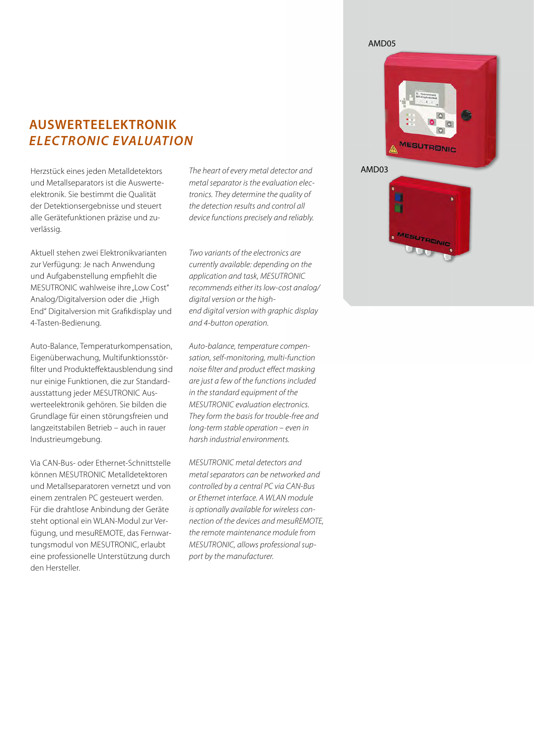#### AMD05

### **AUSWERTEELEKTRONIK** *ELECTRONIC EVALUATION*

Herzstück eines jeden Metalldetektors und Metallseparators ist die Auswerteelektronik. Sie bestimmt die Qualität der Detektionsergebnisse und steuert alle Gerätefunktionen präzise und zuverlässig.

Aktuell stehen zwei Elektronikvarianten zur Verfügung: Je nach Anwendung und Aufgabenstellung empfiehlt die MESUTRONIC wahlweise ihre "Low Cost" Analog/Digitalversion oder die "High End" Digitalversion mit Grafikdisplay und 4-Tasten-Bedienung.

Auto-Balance, Temperaturkompensation, Eigenüberwachung, Multifunktionsstörfilter und Produkteffektausblendung sind nur einige Funktionen, die zur Standardausstattung jeder MESUTRONIC Auswerteelektronik gehören. Sie bilden die Grundlage für einen störungsfreien und langzeitstabilen Betrieb – auch in rauer Industrieumgebung.

Via CAN-Bus- oder Ethernet-Schnittstelle können MESUTRONIC Metalldetektoren und Metallseparatoren vernetzt und von einem zentralen PC gesteuert werden. Für die drahtlose Anbindung der Geräte steht optional ein WLAN-Modul zur Verfügung, und mesuREMOTE, das Fernwartungsmodul von MESUTRONIC, erlaubt eine professionelle Unterstützung durch den Hersteller.

*The heart of every metal detector and metal separator is the evaluation electronics. They determine the quality of the detection results and control all device functions precisely and reliably.*

*Two variants of the electronics are currently available: depending on the application and task, MESUTRONIC recommends either its low-cost analog/ digital version or the highend digital version with graphic display and 4-button operation.*

*Auto-balance, temperature compensation, self-monitoring, multi-function noise filter and product effect masking are just a few of the functions included in the standard equipment of the MESUTRONIC evaluation electronics. They form the basis for trouble-free and long-term stable operation – even in harsh industrial environments.*

*MESUTRONIC metal detectors and metal separators can be networked and controlled by a central PC via CAN-Bus or Ethernet interface. A WLAN module is optionally available for wireless connection of the devices and mesuREMOTE, the remote maintenance module from MESUTRONIC, allows professional support by the manufacturer.*